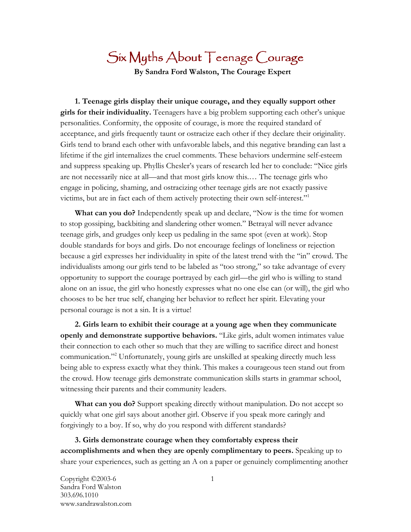## $S$ ix Myths About Teenage Courage

**By Sandra Ford Walston, The Courage Expert** 

**1. Teenage girls display their unique courage, and they equally support other girls for their individuality.** Teenagers have a big problem supporting each other's unique personalities. Conformity, the opposite of courage, is more the required standard of acceptance, and girls frequently taunt or ostracize each other if they declare their originality. Girls tend to brand each other with unfavorable labels, and this negative branding can last a lifetime if the girl internalizes the cruel comments. These behaviors undermine self-esteem and suppress speaking up. Phyllis Chesler's years of research led her to conclude: "Nice girls are not necessarily nice at all—and that most girls know this.… The teenage girls who engage in policing, shaming, and ostracizing other teenage girls are not exactly passive victims, but are in fact each of them actively protecting their own self-interest."<sup>1</sup>

**What can you do?** Independently speak up and declare, "Now is the time for women to stop gossiping, backbiting and slandering other women." Betrayal will never advance teenage girls, and grudges only keep us pedaling in the same spot (even at work). Stop double standards for boys and girls. Do not encourage feelings of loneliness or rejection because a girl expresses her individuality in spite of the latest trend with the "in" crowd. The individualists among our girls tend to be labeled as "too strong," so take advantage of every opportunity to support the courage portrayed by each girl—the girl who is willing to stand alone on an issue, the girl who honestly expresses what no one else can (or will), the girl who chooses to be her true self, changing her behavior to reflect her spirit. Elevating your personal courage is not a sin. It is a virtue!

**2. Girls learn to exhibit their courage at a young age when they communicate openly and demonstrate supportive behaviors.** "Like girls, adult women intimates value their connection to each other so much that they are willing to sacrifice direct and honest communication."<sup>2</sup> Unfortunately, young girls are unskilled at speaking directly much less being able to express exactly what they think. This makes a courageous teen stand out from the crowd. How teenage girls demonstrate communication skills starts in grammar school, witnessing their parents and their community leaders.

**What can you do?** Support speaking directly without manipulation. Do not accept so quickly what one girl says about another girl. Observe if you speak more caringly and forgivingly to a boy. If so, why do you respond with different standards?

**3. Girls demonstrate courage when they comfortably express their accomplishments and when they are openly complimentary to peers.** Speaking up to share your experiences, such as getting an A on a paper or genuinely complimenting another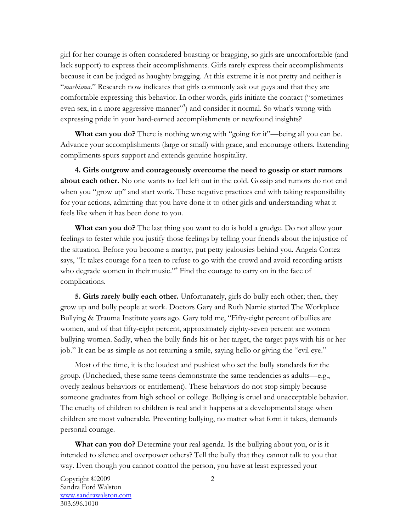girl for her courage is often considered boasting or bragging, so girls are uncomfortable (and lack support) to express their accomplishments. Girls rarely express their accomplishments because it can be judged as haughty bragging. At this extreme it is not pretty and neither is "*machisma*." Research now indicates that girls commonly ask out guys and that they are comfortable expressing this behavior. In other words, girls initiate the contact ("sometimes even sex, in a more aggressive manner"<sup>3</sup>) and consider it normal. So what's wrong with expressing pride in your hard-earned accomplishments or newfound insights?

**What can you do?** There is nothing wrong with "going for it"—being all you can be. Advance your accomplishments (large or small) with grace, and encourage others. Extending compliments spurs support and extends genuine hospitality.

**4. Girls outgrow and courageously overcome the need to gossip or start rumors about each other.** No one wants to feel left out in the cold. Gossip and rumors do not end when you "grow up" and start work. These negative practices end with taking responsibility for your actions, admitting that you have done it to other girls and understanding what it feels like when it has been done to you.

**What can you do?** The last thing you want to do is hold a grudge. Do not allow your feelings to fester while you justify those feelings by telling your friends about the injustice of the situation. Before you become a martyr, put petty jealousies behind you. Angela Cortez says, "It takes courage for a teen to refuse to go with the crowd and avoid recording artists who degrade women in their music."<sup>4</sup> Find the courage to carry on in the face of complications.

**5. Girls rarely bully each other.** Unfortunately, girls do bully each other; then, they grow up and bully people at work. Doctors Gary and Ruth Namie started The Workplace Bullying & Trauma Institute years ago. Gary told me, "Fifty-eight percent of bullies are women, and of that fifty-eight percent, approximately eighty-seven percent are women bullying women. Sadly, when the bully finds his or her target, the target pays with his or her job." It can be as simple as not returning a smile, saying hello or giving the "evil eye."

Most of the time, it is the loudest and pushiest who set the bully standards for the group. (Unchecked, these same teens demonstrate the same tendencies as adults—e.g., overly zealous behaviors or entitlement). These behaviors do not stop simply because someone graduates from high school or college. Bullying is cruel and unacceptable behavior. The cruelty of children to children is real and it happens at a developmental stage when children are most vulnerable. Preventing bullying, no matter what form it takes, demands personal courage.

**What can you do?** Determine your real agenda. Is the bullying about you, or is it intended to silence and overpower others? Tell the bully that they cannot talk to you that way. Even though you cannot control the person, you have at least expressed your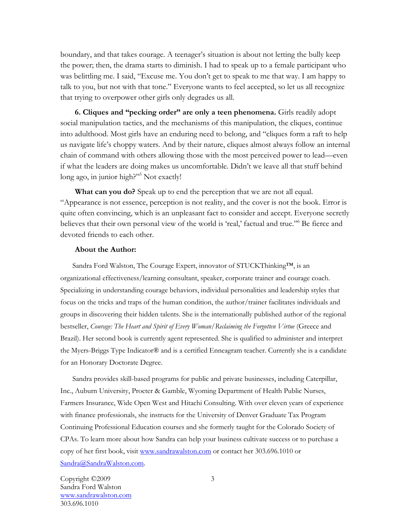boundary, and that takes courage. A teenager's situation is about not letting the bully keep the power; then, the drama starts to diminish. I had to speak up to a female participant who was belittling me. I said, "Excuse me. You don't get to speak to me that way. I am happy to talk to you, but not with that tone." Everyone wants to feel accepted, so let us all recognize that trying to overpower other girls only degrades us all.

**6. Cliques and "pecking order" are only a teen phenomena.** Girls readily adopt social manipulation tactics, and the mechanisms of this manipulation, the cliques, continue into adulthood. Most girls have an enduring need to belong, and "cliques form a raft to help us navigate life's choppy waters. And by their nature, cliques almost always follow an internal chain of command with others allowing those with the most perceived power to lead—even if what the leaders are doing makes us uncomfortable. Didn't we leave all that stuff behind long ago, in junior high?"<sup>5</sup> Not exactly!

**What can you do?** Speak up to end the perception that we are not all equal. "Appearance is not essence, perception is not reality, and the cover is not the book. Error is quite often convincing, which is an unpleasant fact to consider and accept. Everyone secretly believes that their own personal view of the world is 'real,' factual and true." Be fierce and devoted friends to each other.

## **About the Author:**

Sandra Ford Walston, The Courage Expert, innovator of STUCKThinking™, is an organizational effectiveness/learning consultant, speaker, corporate trainer and courage coach. Specializing in understanding courage behaviors, individual personalities and leadership styles that focus on the tricks and traps of the human condition, the author/trainer facilitates individuals and groups in discovering their hidden talents. She is the internationally published author of the regional bestseller, *Courage: The Heart and Spirit of Every Woman/Reclaiming the Forgotten Virtue* (Greece and Brazil). Her second book is currently agent represented. She is qualified to administer and interpret the Myers-Briggs Type Indicator® and is a certified Enneagram teacher. Currently she is a candidate for an Honorary Doctorate Degree.

Sandra provides skill-based programs for public and private businesses, including Caterpillar, Inc., Auburn University, Procter & Gamble, Wyoming Department of Health Public Nurses, Farmers Insurance, Wide Open West and Hitachi Consulting. With over eleven years of experience with finance professionals, she instructs for the University of Denver Graduate Tax Program Continuing Professional Education courses and she formerly taught for the Colorado Society of CPAs. To learn more about how Sandra can help your business cultivate success or to purchase a copy of her first book, visit www.sandrawalston.com or contact her 303.696.1010 or

Sandra@SandraWalston.com.